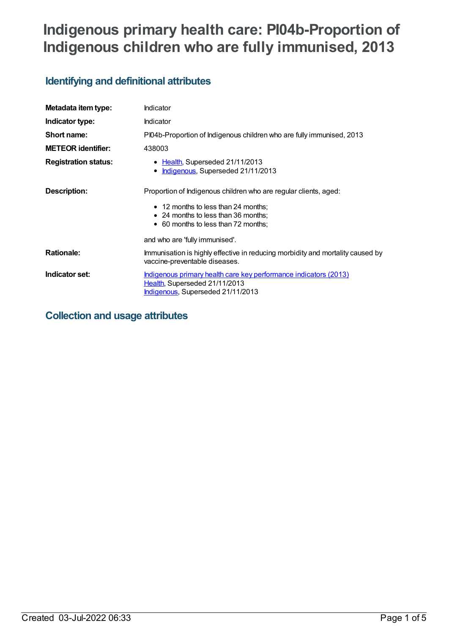# **Indigenous primary health care: PI04b-Proportion of Indigenous children who are fully immunised, 2013**

## **Identifying and definitional attributes**

| Metadata item type:         | Indicator                                                                                                                                                                             |
|-----------------------------|---------------------------------------------------------------------------------------------------------------------------------------------------------------------------------------|
| Indicator type:             | Indicator                                                                                                                                                                             |
| Short name:                 | PI04b-Proportion of Indigenous children who are fully immunised, 2013                                                                                                                 |
| <b>METEOR identifier:</b>   | 438003                                                                                                                                                                                |
| <b>Registration status:</b> | • Health, Superseded 21/11/2013<br>Indigenous, Superseded 21/11/2013<br>٠                                                                                                             |
| Description:                | Proportion of Indigenous children who are regular clients, aged:<br>• 12 months to less than 24 months;<br>• 24 months to less than 36 months;<br>• 60 months to less than 72 months; |
|                             | and who are 'fully immunised'.                                                                                                                                                        |
| <b>Rationale:</b>           | Immunisation is highly effective in reducing morbidity and mortality caused by<br>vaccine-preventable diseases.                                                                       |
| Indicator set:              | Indigenous primary health care key performance indicators (2013)<br>Health, Superseded 21/11/2013<br>Indigenous, Superseded 21/11/2013                                                |

## **Collection and usage attributes**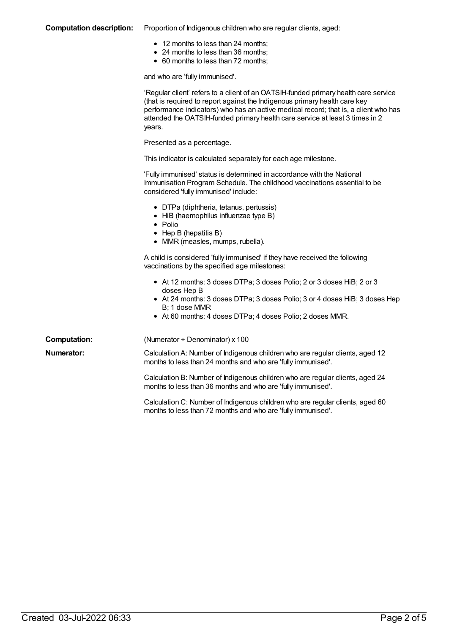#### **Computation description:** Proportion of Indigenous children who are regular clients, aged:

- 12 months to less than 24 months;
- 24 months to less than 36 months;
- 60 months to less than 72 months;

and who are 'fully immunised'.

|                     | 'Regular client' refers to a client of an OATSIH-funded primary health care service<br>(that is required to report against the Indigenous primary health care key<br>performance indicators) who has an active medical record; that is, a client who has<br>attended the OATSIH-funded primary health care service at least 3 times in 2<br>years. |
|---------------------|----------------------------------------------------------------------------------------------------------------------------------------------------------------------------------------------------------------------------------------------------------------------------------------------------------------------------------------------------|
|                     | Presented as a percentage.                                                                                                                                                                                                                                                                                                                         |
|                     | This indicator is calculated separately for each age milestone.                                                                                                                                                                                                                                                                                    |
|                     | 'Fully immunised' status is determined in accordance with the National<br>Immunisation Program Schedule. The childhood vaccinations essential to be<br>considered 'fully immunised' include:                                                                                                                                                       |
|                     | • DTPa (diphtheria, tetanus, pertussis)<br>• HiB (haemophilus influenzae type B)<br>$\bullet$ Polio<br>• Hep B (hepatitis B)<br>• MMR (measles, mumps, rubella).                                                                                                                                                                                   |
|                     | A child is considered 'fully immunised' if they have received the following<br>vaccinations by the specified age milestones:                                                                                                                                                                                                                       |
|                     | • At 12 months: 3 doses DTPa; 3 doses Polio; 2 or 3 doses HiB; 2 or 3<br>doses Hep B<br>• At 24 months: 3 doses DTPa; 3 doses Polio; 3 or 4 doses HiB; 3 doses Hep<br>B; 1 dose MMR<br>• At 60 months: 4 doses DTPa; 4 doses Polio; 2 doses MMR.                                                                                                   |
| <b>Computation:</b> | (Numerator ÷ Denominator) x 100                                                                                                                                                                                                                                                                                                                    |
| Numerator:          | Calculation A: Number of Indigenous children who are regular clients, aged 12<br>months to less than 24 months and who are 'fully immunised'.                                                                                                                                                                                                      |
|                     | Calculation B: Number of Indigenous children who are regular clients, aged 24<br>months to less than 36 months and who are 'fully immunised'.                                                                                                                                                                                                      |
|                     | Calculation C: Number of Indigenous children who are regular clients, aged 60<br>months to less than 72 months and who are 'fully immunised'.                                                                                                                                                                                                      |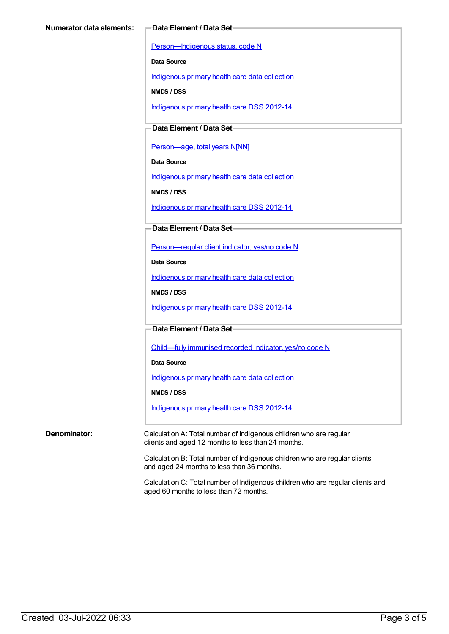[Person—Indigenous](https://meteor.aihw.gov.au/content/291036) status, code N

**Data Source**

[Indigenous](https://meteor.aihw.gov.au/content/430643) primary health care data collection

**NMDS / DSS**

[Indigenous](https://meteor.aihw.gov.au/content/430629) primary health care DSS 2012-14

**Data Element / Data Set**

[Person—age,](https://meteor.aihw.gov.au/content/303794) total years N[NN]

**Data Source**

[Indigenous](https://meteor.aihw.gov.au/content/430643) primary health care data collection

**NMDS / DSS**

[Indigenous](https://meteor.aihw.gov.au/content/430629) primary health care DSS 2012-14

**Data Element / Data Set**

[Person—regular](https://meteor.aihw.gov.au/content/436639) client indicator, yes/no code N

**Data Source**

[Indigenous](https://meteor.aihw.gov.au/content/430643) primary health care data collection

**NMDS / DSS**

[Indigenous](https://meteor.aihw.gov.au/content/430629) primary health care DSS 2012-14

**Data Element / Data Set**

[Child—fully](https://meteor.aihw.gov.au/content/457664) immunised recorded indicator, yes/no code N

**Data Source**

[Indigenous](https://meteor.aihw.gov.au/content/430643) primary health care data collection

**NMDS / DSS**

[Indigenous](https://meteor.aihw.gov.au/content/430629) primary health care DSS 2012-14

**Denominator:** Calculation A: Total number of Indigenous children who are regular clients and aged 12 months to less than 24 months.

> Calculation B: Total number of Indigenous children who are regular clients and aged 24 months to less than 36 months.

Calculation C: Total number of Indigenous children who are regular clients and aged 60 months to less than 72 months.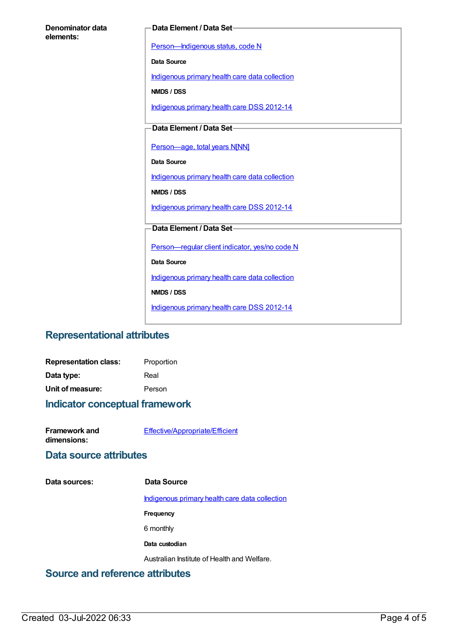| Denominator data |  |
|------------------|--|
| elements:        |  |

#### **Data Element / Data Set**

[Person—Indigenous](https://meteor.aihw.gov.au/content/291036) status, code N

**Data Source**

[Indigenous](https://meteor.aihw.gov.au/content/430643) primary health care data collection

**NMDS / DSS**

[Indigenous](https://meteor.aihw.gov.au/content/430629) primary health care DSS 2012-14

**Data Element / Data Set**

[Person—age,](https://meteor.aihw.gov.au/content/303794) total years N[NN]

**Data Source**

[Indigenous](https://meteor.aihw.gov.au/content/430643) primary health care data collection

**NMDS / DSS**

[Indigenous](https://meteor.aihw.gov.au/content/430629) primary health care DSS 2012-14

#### **Data Element / Data Set**

[Person—regular](https://meteor.aihw.gov.au/content/436639) client indicator, yes/no code N

**Data Source**

[Indigenous](https://meteor.aihw.gov.au/content/430643) primary health care data collection

**NMDS / DSS**

[Indigenous](https://meteor.aihw.gov.au/content/430629) primary health care DSS 2012-14

### **Representational attributes**

| <b>Representation class:</b> | Proportion |
|------------------------------|------------|
| Data type:                   | Real       |
| Unit of measure:             | Person     |

#### **Indicator conceptual framework**

| Framework and | Effective/Appropriate/Efficient |
|---------------|---------------------------------|
| dimensions:   |                                 |

### **Data source attributes**

**Data sources: Data Source**

[Indigenous](https://meteor.aihw.gov.au/content/430643) primary health care data collection

**Frequency**

6 monthly

**Data custodian**

Australian Institute of Health and Welfare.

### **Source and reference attributes**